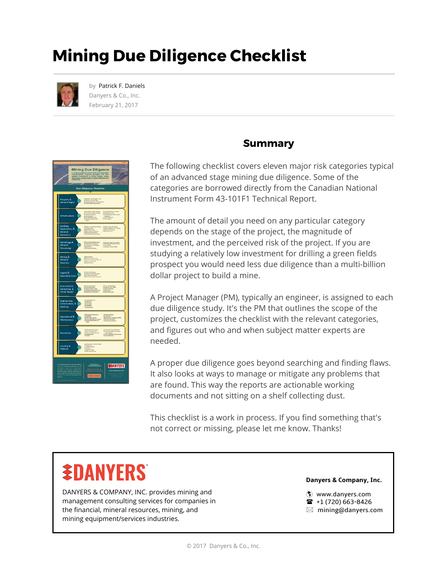## **Mining Due Diligence Checklist**



by Patrick F. Daniels Danyers & Co., Inc. February 21, 2017



#### **Summary**

The following checklist covers eleven major risk categories typical of an advanced stage mining due diligence. Some of the categories are borrowed directly from the Canadian National Instrument Form 43-101F1 Technical Report.

The amount of detail you need on any particular category depends on the stage of the project, the magnitude of investment, and the perceived risk of the project. If you are studying a relatively low investment for drilling a green fields prospect you would need less due diligence than a multi-billion dollar project to build a mine.

A Project Manager (PM), typically an engineer, is assigned to each due diligence study. It's the PM that outlines the scope of the project, customizes the checklist with the relevant categories, and figures out who and when subject matter experts are needed.

A proper due diligence goes beyond searching and finding flaws. It also looks at ways to manage or mitigate any problems that are found. This way the reports are actionable working documents and not sitting on a shelf collecting dust.

This checklist is a work in process. If you find something that's not correct or missing, please let me know. Thanks!

## **&DANYFRS**

DANYERS & COMPANY, INC. provides mining and management consulting services for companies in the financial, mineral resources, mining, and mining equipment/services industries.

#### **[Danyers & Company, Inc.](www.danyers.com)**

à <www.danyers.com>

- $\bullet$  +1 (720) 663-8426
- $\boxtimes$  mining@danyers.com